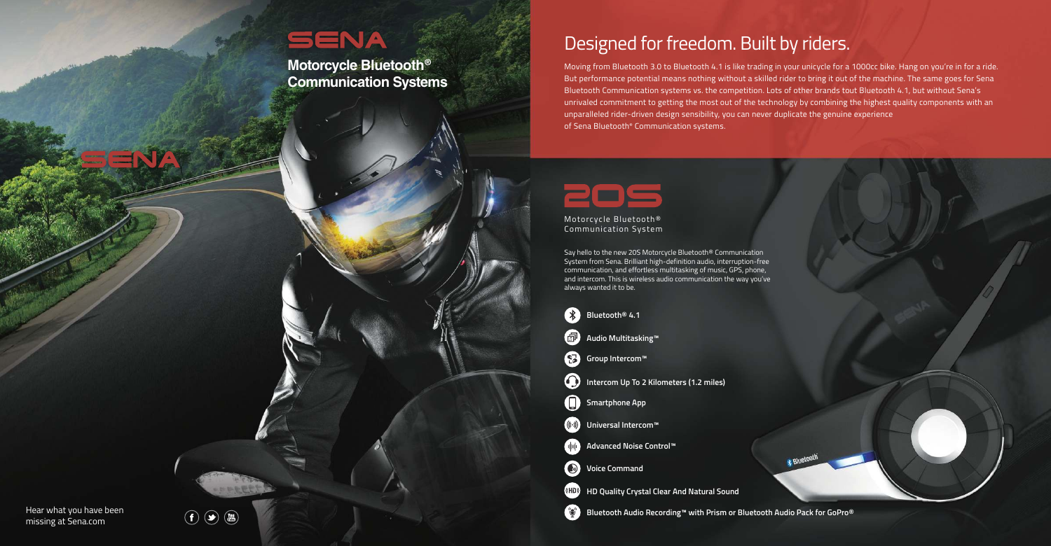Hear what you have been missing at Sena.com







Motorcycle Bluetooth® Communication System

Say hello to the new 20S Motorcycle Bluetooth® Communication System from Sena. Brilliant high-definition audio, interruption-free communication, and effortless multitasking of music, GPS, phone, and intercom. This is wireless audio communication the way you've always wanted it to be.

### Designed for freedom. Built by riders.

Moving from Bluetooth 3.0 to Bluetooth 4.1 is like trading in your unicycle for a 1000cc bike. Hang on you're in for a ride. But performance potential means nothing without a skilled rider to bring it out of the machine. The same goes for Sena Bluetooth Communication systems vs. the competition. Lots of other brands tout Bluetooth 4.1, but without Sena's unrivaled commitment to getting the most out of the technology by combining the highest quality components with an unparalleled rider-driven design sensibility, you can never duplicate the genuine experience of Sena Bluetooth® Communication systems.



### SENA

**Motorcycle Bluetooth® Communication Systems**